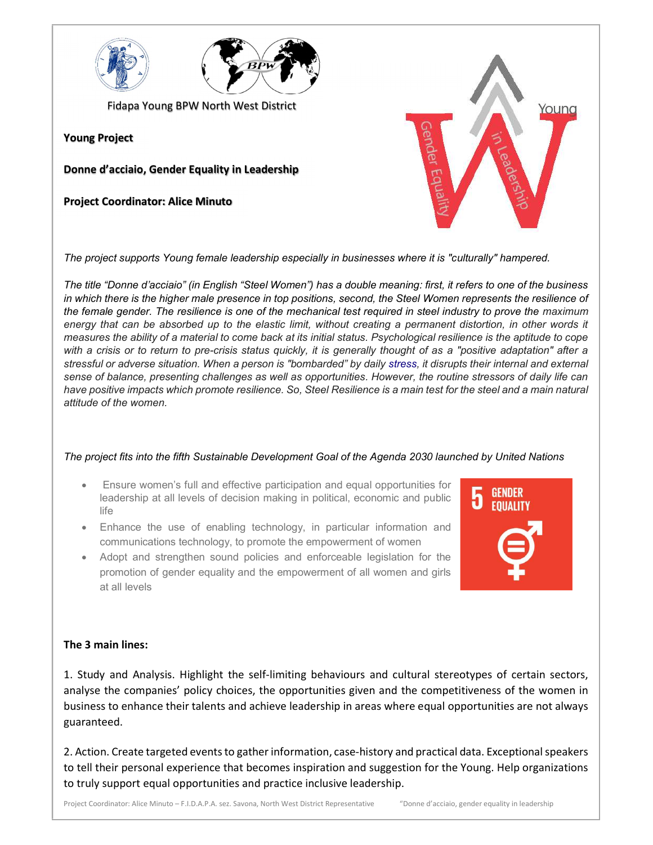



Fidapa Young BPW North West District

Young Project

Donne d'acciaio, Gender Equality in Leadership

Project Coordinator: Alice Minuto

The project supports Young female leadership especially in businesses where it is "culturally" hampered.

The title "Donne d'acciaio" (in English "Steel Women") has a double meaning: first, it refers to one of the business in which there is the higher male presence in top positions, second, the Steel Women represents the resilience of the female gender. The resilience is one of the mechanical test required in steel industry to prove the maximum energy that can be absorbed up to the elastic limit, without creating a permanent distortion, in other words it measures the ability of a material to come back at its initial status. Psychological resilience is the aptitude to cope with a crisis or to return to pre-crisis status quickly, it is generally thought of as a "positive adaptation" after a stressful or adverse situation. When a person is "bombarded" by daily stress, it disrupts their internal and external sense of balance, presenting challenges as well as opportunities. However, the routine stressors of daily life can have positive impacts which promote resilience. So, Steel Resilience is a main test for the steel and a main natural attitude of the women.

## The project fits into the fifth Sustainable Development Goal of the Agenda 2030 launched by United Nations

- Ensure women's full and effective participation and equal opportunities for leadership at all levels of decision making in political, economic and public life
- Enhance the use of enabling technology, in particular information and communications technology, to promote the empowerment of women
- Adopt and strengthen sound policies and enforceable legislation for the promotion of gender equality and the empowerment of all women and girls at all levels



Youna

## The 3 main lines:

1. Study and Analysis. Highlight the self-limiting behaviours and cultural stereotypes of certain sectors, analyse the companies' policy choices, the opportunities given and the competitiveness of the women in business to enhance their talents and achieve leadership in areas where equal opportunities are not always guaranteed.

2. Action. Create targeted events to gather information, case-history and practical data. Exceptional speakers to tell their personal experience that becomes inspiration and suggestion for the Young. Help organizations to truly support equal opportunities and practice inclusive leadership.